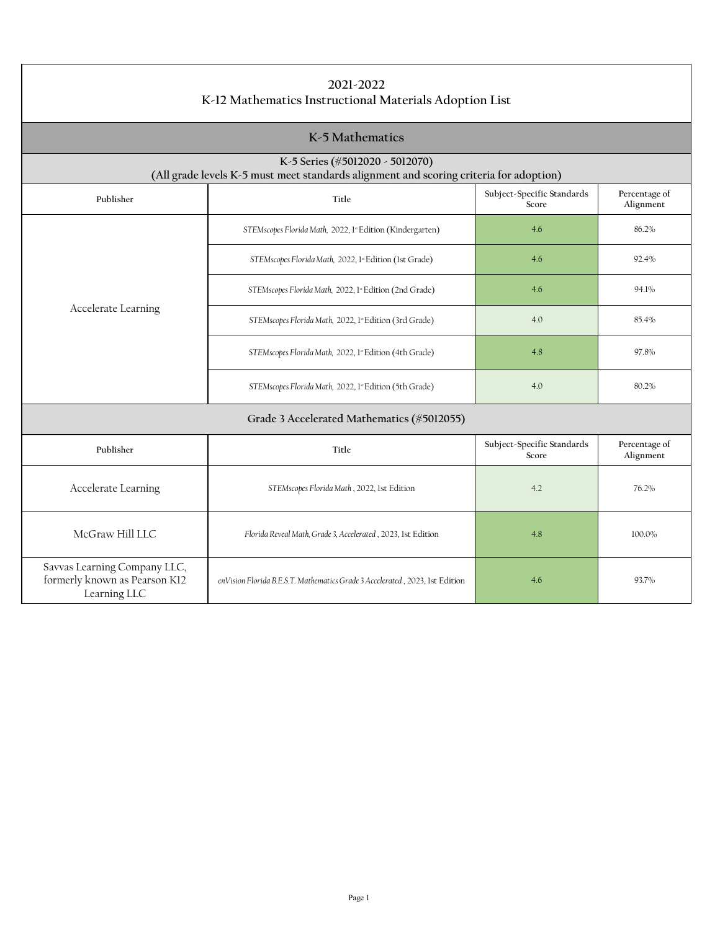| 2021-2022<br>K-12 Mathematics Instructional Materials Adoption List                                                       |                                                                              |                                     |                            |
|---------------------------------------------------------------------------------------------------------------------------|------------------------------------------------------------------------------|-------------------------------------|----------------------------|
| K-5 Mathematics                                                                                                           |                                                                              |                                     |                            |
| K-5 Series (#5012020 - 5012070)<br>(All grade levels K-5 must meet standards alignment and scoring criteria for adoption) |                                                                              |                                     |                            |
| Publisher                                                                                                                 | Title                                                                        | Subject-Specific Standards<br>Score | Percentage of<br>Alignment |
|                                                                                                                           | STEMscopes Florida Math, 2022, 1st Edition (Kindergarten)                    | 4.6                                 | 86.2%                      |
|                                                                                                                           | STEMscopes Florida Math, 2022, 1st Edition (1st Grade)                       | 4.6                                 | 92.4%                      |
|                                                                                                                           | STEMscopes Florida Math, 2022, 1* Edition (2nd Grade)                        | 4.6                                 | 94.1%                      |
| Accelerate Learning                                                                                                       | STEMscopes Florida Math, 2022, 1ª Edition (3rd Grade)                        | 4.0                                 | 85.4%                      |
|                                                                                                                           | STEMscopes Florida Math, 2022, 1st Edition (4th Grade)                       | 4.8                                 | 97.8%                      |
|                                                                                                                           | STEMscopes Florida Math, 2022, 1ª Edition (5th Grade)                        | 4.0                                 | 80.2%                      |
|                                                                                                                           | Grade 3 Accelerated Mathematics (#5012055)                                   |                                     |                            |
| Publisher                                                                                                                 | Title                                                                        | Subject-Specific Standards<br>Score | Percentage of<br>Alignment |
| Accelerate Learning                                                                                                       | STEMscopes Florida Math, 2022, 1st Edition                                   | 4.2                                 | 76.2%                      |
| McGraw Hill LLC                                                                                                           | Florida Reveal Math, Grade 3, Accelerated, 2023, 1st Edition                 | 4.8                                 | 100.0%                     |
| Savvas Learning Company LLC,<br>formerly known as Pearson K12<br>Learning LLC                                             | enVision Florida B.E.S.T. Mathematics Grade 3 Accelerated, 2023, 1st Edition | 4.6                                 | 93.7%                      |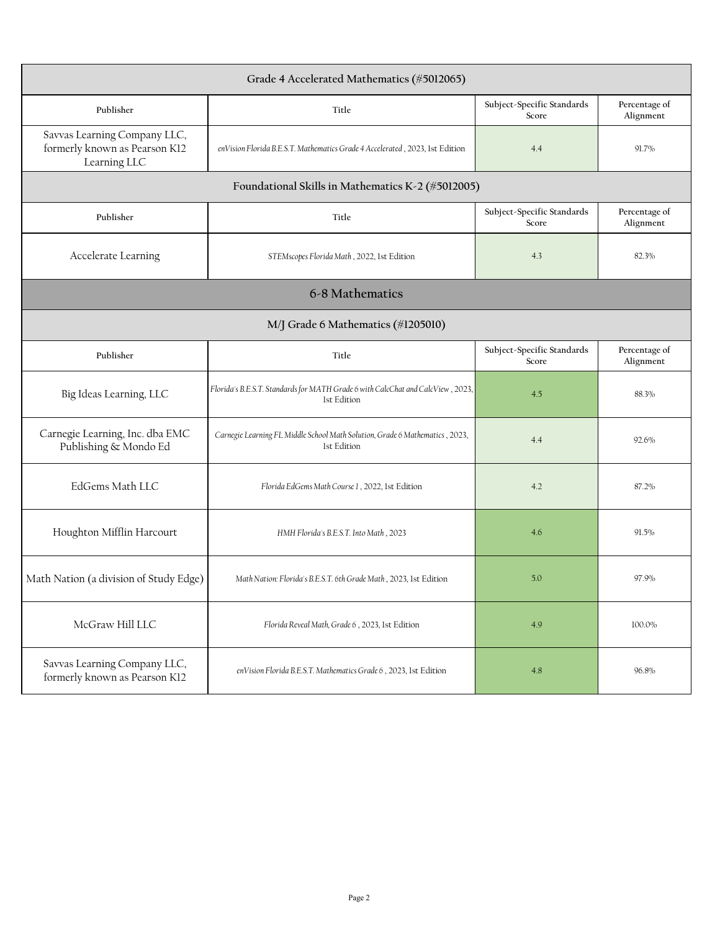| Grade 4 Accelerated Mathematics (#5012065)                                    |                                                                                                |                                     |                            |
|-------------------------------------------------------------------------------|------------------------------------------------------------------------------------------------|-------------------------------------|----------------------------|
| Publisher                                                                     | Title                                                                                          | Subject-Specific Standards<br>Score | Percentage of<br>Alignment |
| Savvas Learning Company LLC,<br>formerly known as Pearson K12<br>Learning LLC | enVision Florida B.E.S.T. Mathematics Grade 4 Accelerated, 2023, 1st Edition                   | 4.4                                 | 91.7%                      |
|                                                                               | Foundational Skills in Mathematics K-2 (#5012005)                                              |                                     |                            |
| Publisher                                                                     | Title                                                                                          | Subject-Specific Standards<br>Score | Percentage of<br>Alignment |
| Accelerate Learning                                                           | STEMscopes Florida Math, 2022, 1st Edition                                                     | 4.3                                 | 82.3%                      |
|                                                                               | 6-8 Mathematics                                                                                |                                     |                            |
| M/J Grade 6 Mathematics (#1205010)                                            |                                                                                                |                                     |                            |
| Publisher                                                                     | Title                                                                                          | Subject-Specific Standards<br>Score | Percentage of<br>Alignment |
| Big Ideas Learning, LLC                                                       | Florida's B.E.S.T. Standards for MATH Grade 6 with CalcChat and CalcView, 2023,<br>1st Edition | 4.5                                 | 88.3%                      |
| Carnegie Learning, Inc. dba EMC<br>Publishing & Mondo Ed                      | Carnegie Learning FL Middle School Math Solution, Grade 6 Mathematics, 2023,<br>1st Edition    | 4.4                                 | 92.6%                      |
| EdGems Math LLC                                                               | Florida EdGems Math Course 1, 2022, 1st Edition                                                | 4.2                                 | 87.2%                      |
| Houghton Mifflin Harcourt                                                     | HMH Florida's B.E.S.T. Into Math, 2023                                                         | 4.6                                 | 91.5%                      |
| Math Nation (a division of Study Edge)                                        | Math Nation: Florida's B.E.S.T. 6th Grade Math, 2023, 1st Edition                              | 5.0                                 | 97.9%                      |
| McGraw Hill LLC                                                               | Florida Reveal Math, Grade 6, 2023, 1st Edition                                                | 4.9                                 | 100.0%                     |
| Savvas Learning Company LLC,<br>formerly known as Pearson K12                 | enVision Florida B.E.S.T. Mathematics Grade 6, 2023, 1st Edition                               | 4.8                                 | 96.8%                      |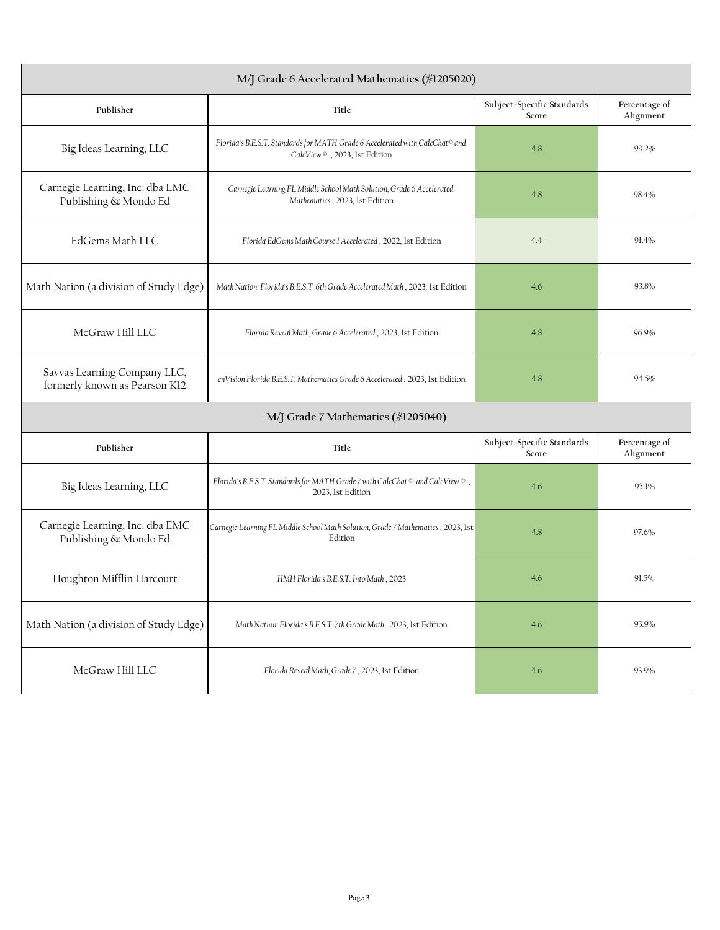| M/J Grade 6 Accelerated Mathematics (#1205020)                |                                                                                                                           |                                     |                            |
|---------------------------------------------------------------|---------------------------------------------------------------------------------------------------------------------------|-------------------------------------|----------------------------|
| Publisher                                                     | Title                                                                                                                     | Subject-Specific Standards<br>Score | Percentage of<br>Alignment |
| Big Ideas Learning, LLC                                       | Florida's B.E.S.T. Standards for MATH Grade 6 Accelerated with CalcChat <sup>®</sup> and<br>CalcView ©, 2023, 1st Edition | 4.8                                 | 99.2%                      |
| Carnegie Learning, Inc. dba EMC<br>Publishing & Mondo Ed      | Carnegie Learning FL Middle School Math Solution, Grade 6 Accelerated<br>Mathematics, 2023, 1st Edition                   | 4.8                                 | 98.4%                      |
| EdGems Math LLC                                               | Florida EdGems Math Course 1 Accelerated, 2022, 1st Edition                                                               | 4.4                                 | 91.4%                      |
| Math Nation (a division of Study Edge)                        | Math Nation: Florida's B.E.S.T. 6th Grade Accelerated Math, 2023, 1st Edition                                             | 4.6                                 | 93.8%                      |
| McGraw Hill LLC                                               | Florida Reveal Math, Grade 6 Accelerated, 2023, 1st Edition                                                               | 4.8                                 | 96.9%                      |
| Savvas Learning Company LLC,<br>formerly known as Pearson K12 | enVision Florida B.E.S.T. Mathematics Grade 6 Accelerated, 2023, 1st Edition                                              | 4.8                                 | 94.5%                      |
|                                                               | M/J Grade 7 Mathematics (#1205040)                                                                                        |                                     |                            |
| Publisher                                                     | Title                                                                                                                     | Subject-Specific Standards<br>Score | Percentage of<br>Alignment |
| Big Ideas Learning, LLC                                       | Florida's B.E.S.T. Standards for MATH Grade 7 with CalcChat $\circ$ and CalcView $\circ$ ,<br>2023, 1st Edition           | 4.6                                 | 95.1%                      |
| Carnegie Learning, Inc. dba EMC<br>Publishing & Mondo Ed      | Carnegie Learning FL Middle School Math Solution, Grade 7 Mathematics, 2023, 1st<br>Edition                               | 4.8                                 | 97.6%                      |
| Houghton Mifflin Harcourt                                     | HMH Florida's B.E.S.T. Into Math, 2023                                                                                    | 4.6                                 | 91.5%                      |
| Math Nation (a division of Study Edge)                        | Math Nation: Florida's B.E.S.T. 7th Grade Math, 2023, 1st Edition                                                         | 4.6                                 | 93.9%                      |
| McGraw Hill LLC                                               | Florida Reveal Math, Grade 7, 2023, 1st Edition                                                                           | 4.6                                 | 93.9%                      |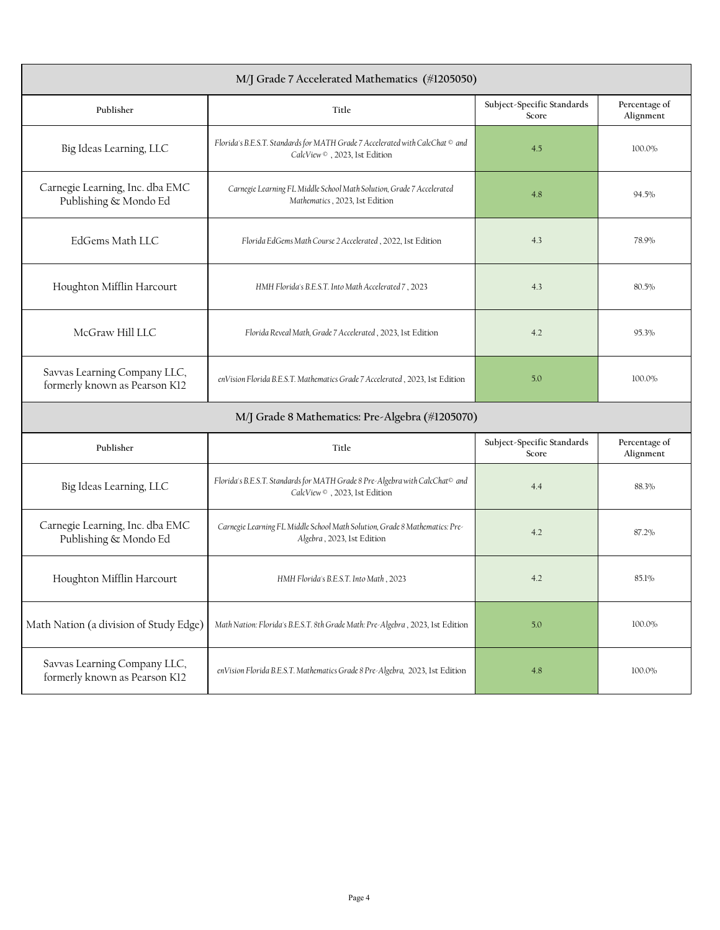| M/J Grade 7 Accelerated Mathematics (#1205050)                |                                                                                                                           |                                     |                            |
|---------------------------------------------------------------|---------------------------------------------------------------------------------------------------------------------------|-------------------------------------|----------------------------|
| Publisher                                                     | Title                                                                                                                     | Subject-Specific Standards<br>Score | Percentage of<br>Alignment |
| Big Ideas Learning, LLC                                       | Florida's B.E.S.T. Standards for MATH Grade 7 Accelerated with CalcChat © and<br>CalcView ©, 2023, 1st Edition            | 4.5                                 | 100.0%                     |
| Carnegie Learning, Inc. dba EMC<br>Publishing & Mondo Ed      | Carnegie Learning FL Middle School Math Solution, Grade 7 Accelerated<br>Mathematics, 2023, 1st Edition                   | 4.8                                 | 94.5%                      |
| EdGems Math LLC                                               | Florida EdGems Math Course 2 Accelerated, 2022, 1st Edition                                                               | 4.3                                 | 78.9%                      |
| Houghton Mifflin Harcourt                                     | HMH Florida's B.E.S.T. Into Math Accelerated 7, 2023                                                                      | 4.3                                 | 80.5%                      |
| McGraw Hill LLC                                               | Florida Reveal Math, Grade 7 Accelerated, 2023, 1st Edition                                                               | 4.2                                 | 95.3%                      |
| Savvas Learning Company LLC,<br>formerly known as Pearson K12 | enVision Florida B.E.S.T. Mathematics Grade 7 Accelerated, 2023, 1st Edition                                              | 5.0                                 | 100.0%                     |
|                                                               | M/J Grade 8 Mathematics: Pre-Algebra (#1205070)                                                                           |                                     |                            |
| Publisher                                                     | Title                                                                                                                     | Subject-Specific Standards<br>Score | Percentage of<br>Alignment |
| Big Ideas Learning, LLC                                       | Florida's B.E.S.T. Standards for MATH Grade 8 Pre-Algebra with CalcChat <sup>®</sup> and<br>CalcView ©, 2023, 1st Edition | 4.4                                 | 88.3%                      |
| Carnegie Learning, Inc. dba EMC<br>Publishing & Mondo Ed      | Carnegie Learning FL Middle School Math Solution, Grade 8 Mathematics: Pre-<br>Algebra, 2023, 1st Edition                 | 4.2                                 | 87.2%                      |
| Houghton Mifflin Harcourt                                     | HMH Florida's B.E.S.T. Into Math, 2023                                                                                    | 4.2                                 | 85.1%                      |
| Math Nation (a division of Study Edge)                        | Math Nation: Florida's B.E.S.T. 8th Grade Math: Pre-Algebra, 2023, 1st Edition                                            | 5.0                                 | 100.0%                     |
| Savvas Learning Company LLC,<br>formerly known as Pearson K12 | enVision Florida B.E.S.T. Mathematics Grade 8 Pre-Algebra, 2023, 1st Edition                                              | $4.8\,$                             | 100.0%                     |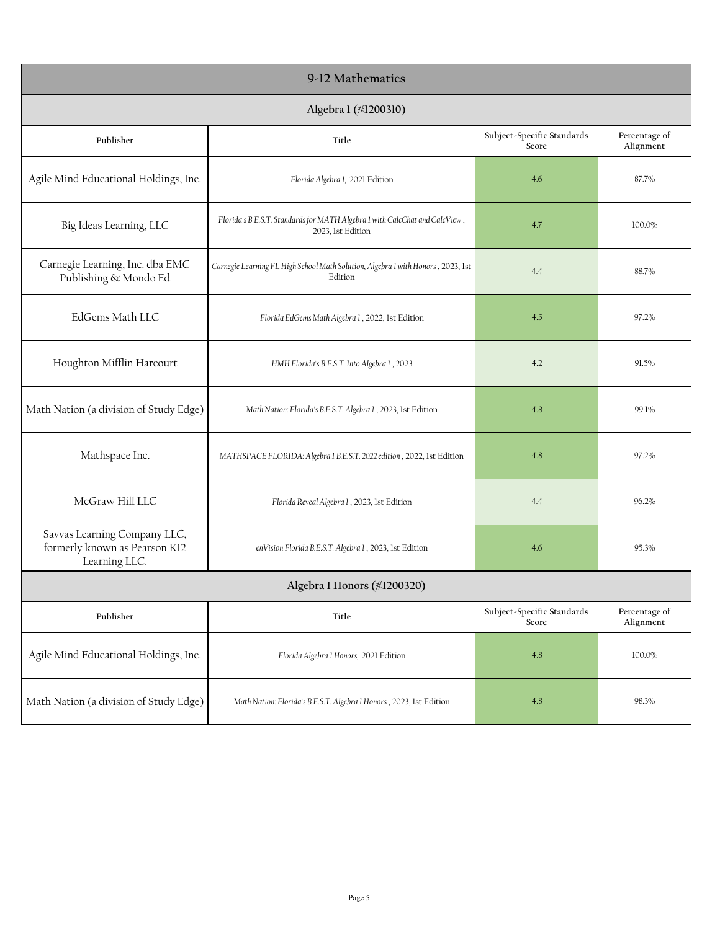| 9-12 Mathematics                                                               |                                                                                                  |                                     |                            |
|--------------------------------------------------------------------------------|--------------------------------------------------------------------------------------------------|-------------------------------------|----------------------------|
| Algebra 1 (#1200310)                                                           |                                                                                                  |                                     |                            |
| Publisher                                                                      | Title                                                                                            | Subject-Specific Standards<br>Score | Percentage of<br>Alignment |
| Agile Mind Educational Holdings, Inc.                                          | Florida Algebra 1, 2021 Edition                                                                  | 4.6                                 | 87.7%                      |
| Big Ideas Learning, LLC                                                        | Florida's B.E.S.T. Standards for MATH Algebra 1 with CalcChat and CalcView,<br>2023, 1st Edition | 4.7                                 | 100.0%                     |
| Carnegie Learning, Inc. dba EMC<br>Publishing & Mondo Ed                       | Carnegie Learning FL High School Math Solution, Algebra 1 with Honors, 2023, 1st<br>Edition      | 4.4                                 | 88.7%                      |
| EdGems Math LLC                                                                | Florida EdGems Math Algebra 1, 2022, 1st Edition                                                 | 4.5                                 | 97.2%                      |
| Houghton Mifflin Harcourt                                                      | HMH Florida's B.E.S.T. Into Algebra 1, 2023                                                      | 4.2                                 | 91.5%                      |
| Math Nation (a division of Study Edge)                                         | Math Nation: Florida's B.E.S.T. Algebra 1, 2023, 1st Edition                                     | 4.8                                 | 99.1%                      |
| Mathspace Inc.                                                                 | MATHSPACE FLORIDA: Algebra 1 B.E.S.T. 2022 edition, 2022, 1st Edition                            | 4.8                                 | 97.2%                      |
| McGraw Hill LLC                                                                | Florida Reveal Algebra 1, 2023, 1st Edition                                                      | 4.4                                 | 96.2%                      |
| Savvas Learning Company LLC,<br>formerly known as Pearson K12<br>Learning LLC. | enVision Florida B.E.S.T. Algebra 1, 2023, 1st Edition                                           | 4.6                                 | 95.3%                      |
| Algebra 1 Honors (#1200320)                                                    |                                                                                                  |                                     |                            |
| Publisher                                                                      | Title                                                                                            | Subject-Specific Standards<br>Score | Percentage of<br>Alignment |
| Agile Mind Educational Holdings, Inc.                                          | Florida Algebra 1 Honors, 2021 Edition                                                           | 4.8                                 | 100.0%                     |
| Math Nation (a division of Study Edge)                                         | Math Nation: Florida's B.E.S.T. Algebra 1 Honors, 2023, 1st Edition                              | 4.8                                 | 98.3%                      |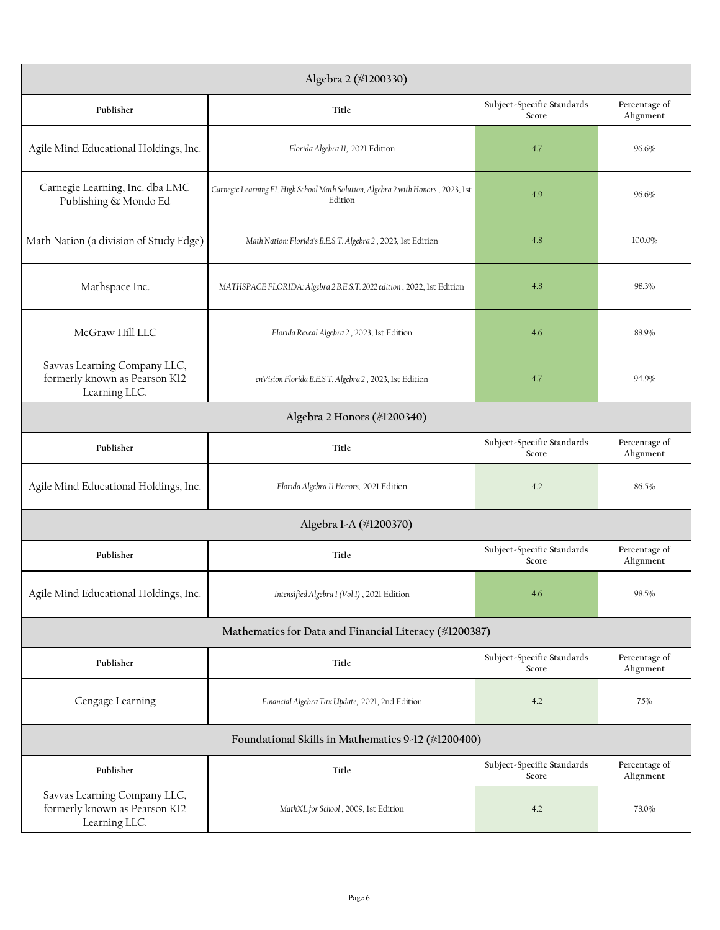| Algebra 2 (#1200330)                                                           |                                                                                             |                                     |                            |
|--------------------------------------------------------------------------------|---------------------------------------------------------------------------------------------|-------------------------------------|----------------------------|
| Publisher                                                                      | Title                                                                                       | Subject-Specific Standards<br>Score | Percentage of<br>Alignment |
| Agile Mind Educational Holdings, Inc.                                          | Florida Algebra 11, 2021 Edition                                                            | 4.7                                 | 96.6%                      |
| Carnegie Learning, Inc. dba EMC<br>Publishing & Mondo Ed                       | Carnegie Learning FL High School Math Solution, Algebra 2 with Honors, 2023, 1st<br>Edition | 4.9                                 | 96.6%                      |
| Math Nation (a division of Study Edge)                                         | Math Nation: Florida's B.E.S.T. Algebra 2, 2023, 1st Edition                                | 4.8                                 | 100.0%                     |
| Mathspace Inc.                                                                 | MATHSPACE FLORIDA: Algebra 2 B.E.S.T. 2022 edition, 2022, 1st Edition                       | 4.8                                 | 98.3%                      |
| McGraw Hill LLC                                                                | Florida Reveal Algebra 2, 2023, 1st Edition                                                 | 4.6                                 | 88.9%                      |
| Savvas Learning Company LLC,<br>formerly known as Pearson K12<br>Learning LLC. | enVision Florida B.E.S.T. Algebra 2, 2023, 1st Edition                                      | 4.7                                 | 94.9%                      |
|                                                                                | Algebra 2 Honors (#1200340)                                                                 |                                     |                            |
| Publisher                                                                      | Title                                                                                       | Subject-Specific Standards<br>Score | Percentage of<br>Alignment |
| Agile Mind Educational Holdings, Inc.                                          | Florida Algebra II Honors, 2021 Edition                                                     | 4.2                                 | 86.5%                      |
|                                                                                | Algebra 1-A (#1200370)                                                                      |                                     |                            |
| Publisher                                                                      | Title                                                                                       | Subject-Specific Standards<br>Score | Percentage of<br>Alignment |
| Agile Mind Educational Holdings, Inc.                                          | Intensified Algebra 1 (Vol 1), 2021 Edition                                                 | 4.6                                 | 98.5%                      |
|                                                                                | Mathematics for Data and Financial Literacy (#1200387)                                      |                                     |                            |
| Publisher                                                                      | Title                                                                                       | Subject-Specific Standards<br>Score | Percentage of<br>Alignment |
| Cengage Learning                                                               | Financial Algebra Tax Update, 2021, 2nd Edition                                             | 4.2                                 | 75%                        |
| Foundational Skills in Mathematics 9-12 (#1200400)                             |                                                                                             |                                     |                            |
| Publisher                                                                      | Title                                                                                       | Subject-Specific Standards<br>Score | Percentage of<br>Alignment |
| Savvas Learning Company LLC,<br>formerly known as Pearson K12<br>Learning LLC. | MathXL for School, 2009, 1st Edition                                                        | 4.2                                 | 78.0%                      |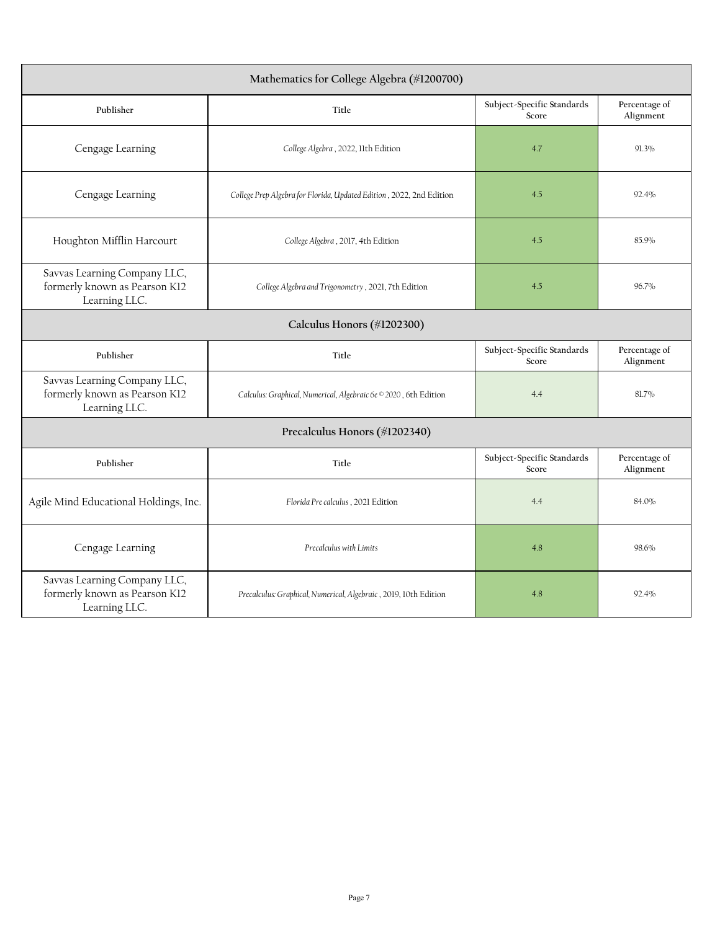| Mathematics for College Algebra (#1200700)                                     |                                                                      |                                     |                            |
|--------------------------------------------------------------------------------|----------------------------------------------------------------------|-------------------------------------|----------------------------|
| Publisher                                                                      | Title                                                                | Subject-Specific Standards<br>Score | Percentage of<br>Alignment |
| Cengage Learning                                                               | College Algebra, 2022, 11th Edition                                  | 4.7                                 | 91.3%                      |
| Cengage Learning                                                               | College Prep Algebra for Florida, Updated Edition, 2022, 2nd Edition | 4.5                                 | 92.4%                      |
| Houghton Mifflin Harcourt                                                      | College Algebra, 2017, 4th Edition                                   | 4.5                                 | 85.9%                      |
| Savvas Learning Company LLC,<br>formerly known as Pearson K12<br>Learning LLC. | College Algebra and Trigonometry, 2021, 7th Edition                  | 4.5                                 | 96.7%                      |
| Calculus Honors (#1202300)                                                     |                                                                      |                                     |                            |
| Publisher                                                                      | Title                                                                | Subject-Specific Standards<br>Score | Percentage of<br>Alignment |
| Savvas Learning Company LLC,<br>formerly known as Pearson K12<br>Learning LLC. | Calculus: Graphical, Numerical, Algebraic 6e © 2020, 6th Edition     | 4.4                                 | 81.7%                      |
|                                                                                | Precalculus Honors (#1202340)                                        |                                     |                            |
| Publisher                                                                      | Title                                                                | Subject-Specific Standards<br>Score | Percentage of<br>Alignment |
| Agile Mind Educational Holdings, Inc.                                          | Florida Pre calculus, 2021 Edition                                   | 4.4                                 | 84.0%                      |
| Cengage Learning                                                               | Precalculus with Limits                                              | 4.8                                 | 98.6%                      |
| Savvas Learning Company LLC,<br>formerly known as Pearson K12<br>Learning LLC. | Precalculus: Graphical, Numerical, Algebraic, 2019, 10th Edition     | 4.8                                 | 92.4%                      |